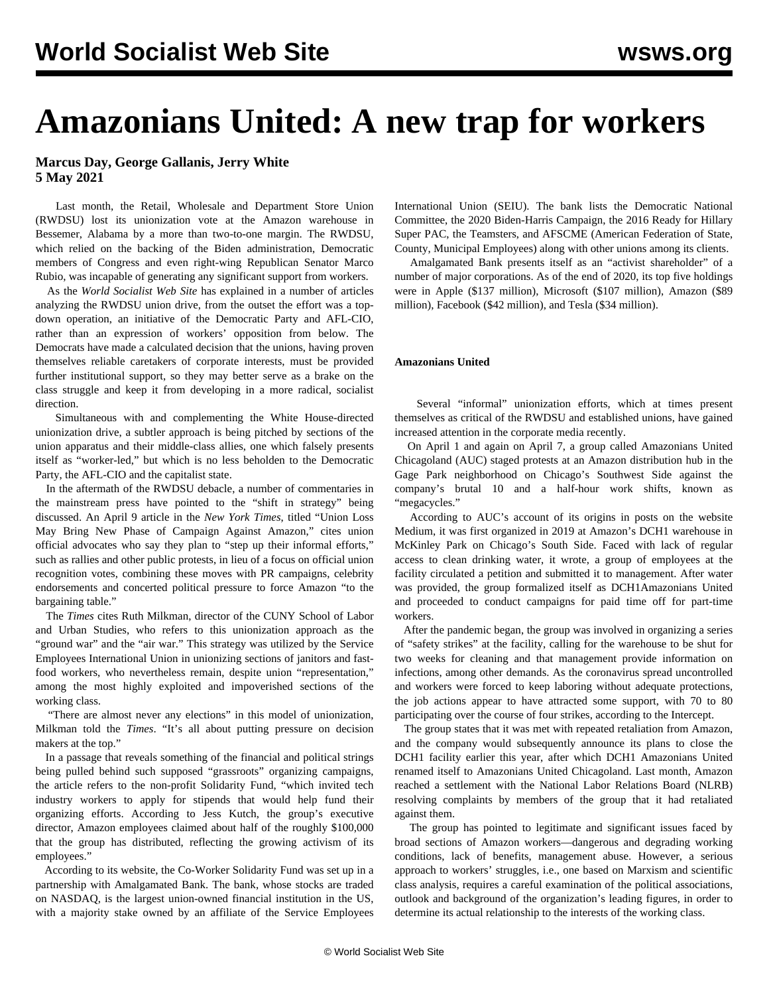# **Amazonians United: A new trap for workers**

# **Marcus Day, George Gallanis, Jerry White 5 May 2021**

 Last month, the Retail, Wholesale and Department Store Union (RWDSU) lost its unionization vote at the Amazon warehouse in Bessemer, Alabama by a more than two-to-one margin. The RWDSU, which relied on the backing of the Biden administration, Democratic members of Congress and even right-wing Republican Senator Marco Rubio, was incapable of generating any significant support from workers.

 As the *World Socialist Web Site* has explained in a [number](/en/articles/2021/03/03/pers-m03.html) [of](/en/articles/2021/03/10/amaz-m10.html) [articles](/en/articles/2021/03/16/amaz-m16.html) analyzing the RWDSU union drive, from the outset the effort was a topdown operation, an initiative of the Democratic Party and AFL-CIO, rather than an expression of workers' opposition from below. The Democrats have made a calculated decision that the unions, having proven themselves reliable caretakers of corporate interests, must be provided further institutional support, so they may better serve as a brake on the class struggle and keep it from developing in a more radical, socialist direction.

 Simultaneous with and complementing the White House-directed unionization drive, a subtler approach is being pitched by sections of the union apparatus and their middle-class allies, one which falsely presents itself as "worker-led," but which is no less beholden to the Democratic Party, the AFL-CIO and the capitalist state.

 In the aftermath of the RWDSU debacle, a number of commentaries in the mainstream press have pointed to the "shift in strategy" being discussed. An April 9 article in the *New York Times*, titled "Union Loss May Bring New Phase of Campaign Against Amazon," cites union official advocates who say they plan to "step up their informal efforts," such as rallies and other public protests, in lieu of a focus on official union recognition votes, combining these moves with PR campaigns, celebrity endorsements and concerted political pressure to force Amazon "to the bargaining table."

 The *Times* cites Ruth Milkman, director of the CUNY School of Labor and Urban Studies, who refers to this unionization approach as the "ground war" and the "air war." This strategy was utilized by the Service Employees International Union in unionizing sections of janitors and fastfood workers, who nevertheless remain, despite union "representation," among the most highly exploited and impoverished sections of the working class.

 "There are almost never any elections" in this model of unionization, Milkman told the *Times*. "It's all about putting pressure on decision makers at the top."

 In a passage that reveals something of the financial and political strings being pulled behind such supposed "grassroots" organizing campaigns, the article refers to the non-profit Solidarity Fund, "which invited tech industry workers to apply for stipends that would help fund their organizing efforts. According to Jess Kutch, the group's executive director, Amazon employees claimed about half of the roughly \$100,000 that the group has distributed, reflecting the growing activism of its employees."

 According to its website, the Co-Worker Solidarity Fund was set up in a partnership with Amalgamated Bank. The bank, whose stocks are traded on NASDAQ, is the largest union-owned financial institution in the US, with a majority stake owned by an affiliate of the Service Employees

International Union (SEIU). The bank lists the Democratic National Committee, the 2020 Biden-Harris Campaign, the 2016 Ready for Hillary Super PAC, the Teamsters, and AFSCME (American Federation of State, County, Municipal Employees) along with other unions among its clients.

 Amalgamated Bank presents itself as an "activist shareholder" of a number of major corporations. As of the end of 2020, its top five holdings were in Apple (\$137 million), Microsoft (\$107 million), Amazon (\$89 million), Facebook (\$42 million), and Tesla (\$34 million).

## **Amazonians United**

 Several "informal" unionization efforts, which at times present themselves as critical of the RWDSU and established unions, have gained increased attention in the corporate media recently.

 On April 1 and again on April 7, a group called Amazonians United Chicagoland (AUC) staged protests at an Amazon distribution hub in the Gage Park neighborhood on Chicago's Southwest Side against the company's brutal 10 and a half-hour work shifts, known as "megacycles."

 According to AUC's account of its origins in posts on the website Medium, it was first organized in 2019 at Amazon's DCH1 warehouse in McKinley Park on Chicago's South Side. Faced with lack of regular access to clean drinking water, it wrote, a group of employees at the facility circulated a petition and submitted it to management. After water was provided, the group formalized itself as DCH1Amazonians United and proceeded to conduct campaigns for paid time off for part-time workers.

 After the pandemic began, the group was involved in organizing a series of "safety strikes" at the facility, calling for the warehouse to be shut for two weeks for cleaning and that management provide information on infections, among other demands. As the coronavirus spread uncontrolled and workers were forced to keep laboring without adequate protections, the job actions appear to have attracted some support, with 70 to 80 participating over the course of four strikes, according to the Intercept.

 The group states that it was met with repeated retaliation from Amazon, and the company would subsequently announce its plans to close the DCH1 facility earlier this year, after which DCH1 Amazonians United renamed itself to Amazonians United Chicagoland. Last month, Amazon reached a settlement with the National Labor Relations Board (NLRB) resolving complaints by members of the group that it had retaliated against them.

 The group has pointed to legitimate and significant issues faced by broad sections of Amazon workers—dangerous and degrading working conditions, lack of benefits, management abuse. However, a serious approach to workers' struggles, i.e., one based on Marxism and scientific class analysis, requires a careful examination of the political associations, outlook and background of the organization's leading figures, in order to determine its actual relationship to the interests of the working class.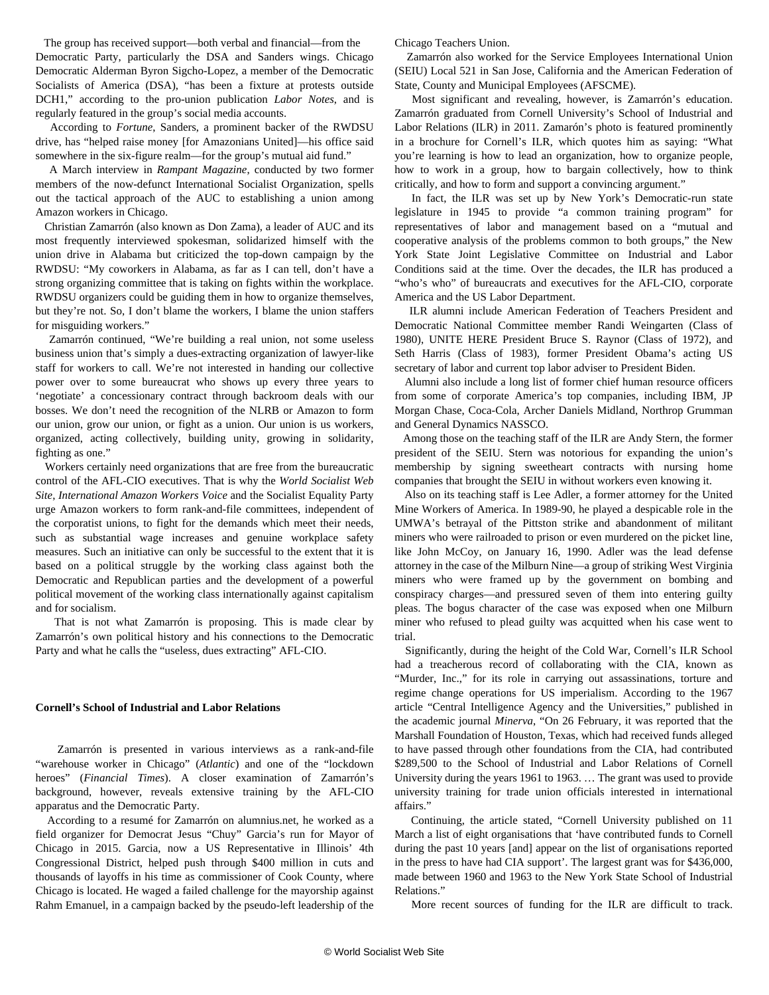The group has received support—both verbal and financial—from the Democratic Party, particularly the DSA and Sanders wings. Chicago Democratic Alderman Byron Sigcho-Lopez, a member of the Democratic Socialists of America (DSA), "has been a fixture at protests outside DCH1," according to the pro-union publication *Labor Notes*, and is regularly featured in the group's social media accounts.

 According to *Fortune*, Sanders, a prominent backer of the RWDSU drive, has "helped raise money [for Amazonians United]—his office said somewhere in the six-figure realm—for the group's mutual aid fund."

 A March interview in *Rampant Magazine*, conducted by two former members of the now-defunct International Socialist Organization, spells out the tactical approach of the AUC to establishing a union among Amazon workers in Chicago.

 Christian Zamarrón (also known as Don Zama), a leader of AUC and its most frequently interviewed spokesman, solidarized himself with the union drive in Alabama but criticized the top-down campaign by the RWDSU: "My coworkers in Alabama, as far as I can tell, don't have a strong organizing committee that is taking on fights within the workplace. RWDSU organizers could be guiding them in how to organize themselves, but they're not. So, I don't blame the workers, I blame the union staffers for misguiding workers."

 Zamarrón continued, "We're building a real union, not some useless business union that's simply a dues-extracting organization of lawyer-like staff for workers to call. We're not interested in handing our collective power over to some bureaucrat who shows up every three years to 'negotiate' a concessionary contract through backroom deals with our bosses. We don't need the recognition of the NLRB or Amazon to form our union, grow our union, or fight as a union. Our union is us workers, organized, acting collectively, building unity, growing in solidarity, fighting as one."

 Workers certainly need organizations that are free from the bureaucratic control of the AFL-CIO executives. That is why the *World Socialist Web Site*, *[International Amazon Workers Voice](/en/topics/workersCategory/amazon)* and the Socialist Equality Party urge Amazon workers to form rank-and-file committees, independent of the corporatist unions, to fight for the demands which meet their needs, such as substantial wage increases and genuine workplace safety measures. Such an initiative can only be successful to the extent that it is based on a political struggle by the working class against both the Democratic and Republican parties and the development of a powerful political movement of the working class internationally against capitalism and for socialism.

 That is not what Zamarrón is proposing. This is made clear by Zamarrón's own political history and his connections to the Democratic Party and what he calls the "useless, dues extracting" AFL-CIO.

#### **Cornell's School of Industrial and Labor Relations**

 Zamarrón is presented in various interviews as a rank-and-file "warehouse worker in Chicago" (*Atlantic*) and one of the "lockdown heroes" (*Financial Times*). A closer examination of Zamarrón's background, however, reveals extensive training by the AFL-CIO apparatus and the Democratic Party.

 According to a resumé for Zamarrón on alumnius.net, he worked as a field organizer for Democrat Jesus "Chuy" Garcia's run for Mayor of Chicago in 2015. Garcia, now a US Representative in Illinois' 4th Congressional District, helped push through \$400 million in cuts and thousands of layoffs in his time as commissioner of Cook County, where Chicago is located. He waged a failed challenge for the mayorship against Rahm Emanuel, in a campaign backed by the pseudo-left leadership of the

Chicago Teachers Union.

 Zamarrón also worked for the Service Employees International Union (SEIU) Local 521 in San Jose, California and the American Federation of State, County and Municipal Employees (AFSCME).

 Most significant and revealing, however, is Zamarrón's education. Zamarrón graduated from Cornell University's School of Industrial and Labor Relations (ILR) in 2011. Zamarón's photo is featured prominently in a brochure for Cornell's ILR, which quotes him as saying: "What you're learning is how to lead an organization, how to organize people, how to work in a group, how to bargain collectively, how to think critically, and how to form and support a convincing argument."

 In fact, the ILR was set up by New York's Democratic-run state legislature in 1945 to provide "a common training program" for representatives of labor and management based on a "mutual and cooperative analysis of the problems common to both groups," the New York State Joint Legislative Committee on Industrial and Labor Conditions said at the time. Over the decades, the ILR has produced a "who's who" of bureaucrats and executives for the AFL-CIO, corporate America and the US Labor Department.

 ILR alumni include American Federation of Teachers President and Democratic National Committee member Randi Weingarten (Class of 1980), UNITE HERE President Bruce S. Raynor (Class of 1972), and Seth Harris (Class of 1983), former President Obama's acting US secretary of labor and current top labor adviser to President Biden.

 Alumni also include a long list of former chief human resource officers from some of corporate America's top companies, including IBM, JP Morgan Chase, Coca-Cola, Archer Daniels Midland, Northrop Grumman and General Dynamics NASSCO.

 Among those on the teaching staff of the ILR are Andy Stern, the former president of the SEIU. Stern was notorious for expanding the union's membership by signing sweetheart contracts with nursing home companies that brought the SEIU in without workers even knowing it.

 Also on its teaching staff is Lee Adler, a former attorney for the United Mine Workers of America. In 1989-90, he played a despicable role in the UMWA's betrayal of the Pittston strike and abandonment of militant miners who were railroaded to prison or even murdered on the picket line, like John McCoy, on January 16, 1990. Adler was the lead defense attorney in the case of the Milburn Nine—a group of striking West Virginia miners who were framed up by the government on bombing and conspiracy charges—and pressured seven of them into entering guilty pleas. The bogus character of the case was exposed when one Milburn miner who refused to plead guilty was acquitted when his case went to trial.

 Significantly, during the height of the Cold War, Cornell's ILR School had a treacherous record of collaborating with the CIA, known as "Murder, Inc.," for its role in carrying out assassinations, torture and regime change operations for US imperialism. According to the 1967 article "Central Intelligence Agency and the Universities," published in the academic journal *Minerva*, "On 26 February, it was reported that the Marshall Foundation of Houston, Texas, which had received funds alleged to have passed through other foundations from the CIA, had contributed \$289,500 to the School of Industrial and Labor Relations of Cornell University during the years 1961 to 1963. … The grant was used to provide university training for trade union officials interested in international affairs."

 Continuing, the article stated, "Cornell University published on 11 March a list of eight organisations that 'have contributed funds to Cornell during the past 10 years [and] appear on the list of organisations reported in the press to have had CIA support'. The largest grant was for \$436,000, made between 1960 and 1963 to the New York State School of Industrial Relations."

More recent sources of funding for the ILR are difficult to track.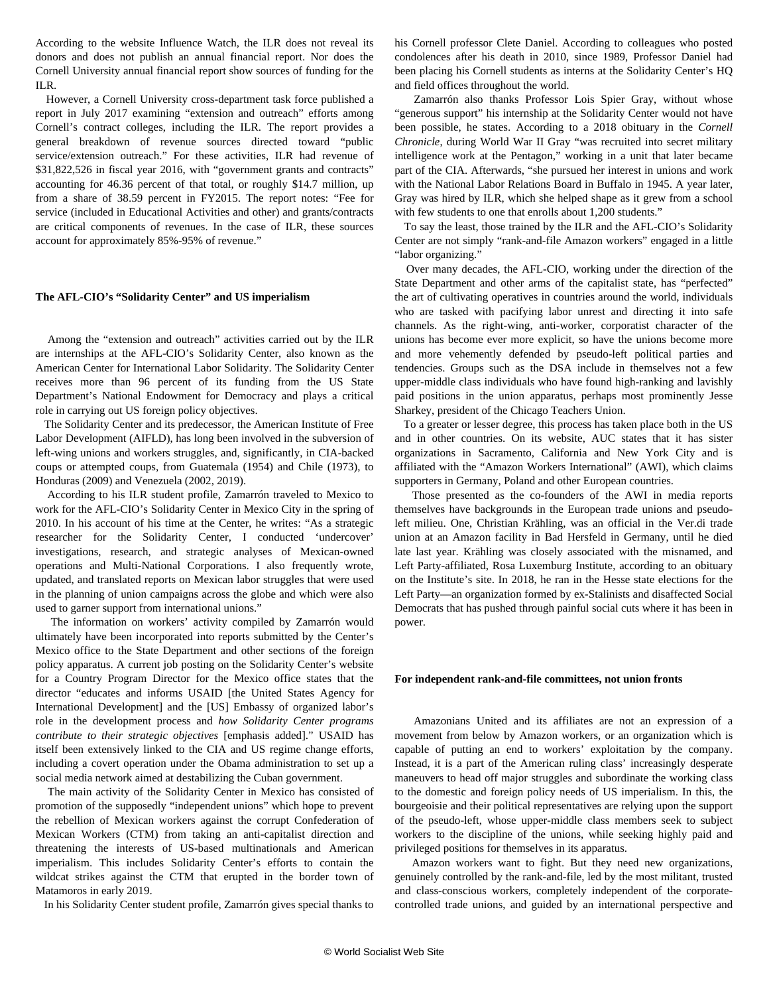According to the website Influence Watch, the ILR does not reveal its donors and does not publish an annual financial report. Nor does the Cornell University annual financial report show sources of funding for the ILR.

 However, a Cornell University cross-department task force published a report in July 2017 examining "extension and outreach" efforts among Cornell's contract colleges, including the ILR. The report provides a general breakdown of revenue sources directed toward "public service/extension outreach." For these activities, ILR had revenue of \$31,822,526 in fiscal year 2016, with "government grants and contracts" accounting for 46.36 percent of that total, or roughly \$14.7 million, up from a share of 38.59 percent in FY2015. The report notes: "Fee for service (included in Educational Activities and other) and grants/contracts are critical components of revenues. In the case of ILR, these sources account for approximately 85%-95% of revenue."

### **The AFL-CIO's "Solidarity Center" and US imperialism**

 Among the "extension and outreach" activities carried out by the ILR are internships at the AFL-CIO's Solidarity Center, also known as the American Center for International Labor Solidarity. The Solidarity Center receives more than 96 percent of its funding from the US State Department's National Endowment for Democracy and plays a critical role in carrying out US foreign policy objectives.

 The Solidarity Center and its predecessor, the American Institute of Free Labor Development (AIFLD), has long been involved in the subversion of left-wing unions and workers struggles, and, significantly, in CIA-backed coups or attempted coups, from Guatemala (1954) and Chile (1973), to Honduras (2009) and Venezuela (2002, 2019).

 According to his ILR student profile, Zamarrón traveled to Mexico to work for the AFL-CIO's Solidarity Center in Mexico City in the spring of 2010. In his account of his time at the Center, he writes: "As a strategic researcher for the Solidarity Center, I conducted 'undercover' investigations, research, and strategic analyses of Mexican-owned operations and Multi-National Corporations. I also frequently wrote, updated, and translated reports on Mexican labor struggles that were used in the planning of union campaigns across the globe and which were also used to garner support from international unions."

 The information on workers' activity compiled by Zamarrón would ultimately have been incorporated into reports submitted by the Center's Mexico office to the State Department and other sections of the foreign policy apparatus. A current job posting on the Solidarity Center's website for a Country Program Director for the Mexico office states that the director "educates and informs USAID [the United States Agency for International Development] and the [US] Embassy of organized labor's role in the development process and *how Solidarity Center programs contribute to their strategic objectives* [emphasis added]." USAID has itself been extensively linked to the CIA and US regime change efforts, including a [covert operation](/en/articles/2014/04/05/cuba-a05.html) under the Obama administration to set up a social media network aimed at destabilizing the Cuban government.

 The main activity of the Solidarity Center in Mexico has consisted of promotion of the supposedly "independent unions" which hope to prevent the rebellion of Mexican workers against the corrupt Confederation of Mexican Workers (CTM) from taking an anti-capitalist direction and threatening the interests of US-based multinationals and American imperialism. This includes Solidarity Center's efforts to contain the wildcat strikes against the CTM that erupted in the border town of [Matamoros](/en/topics/workersCategory/matamoros) in early 2019.

In his Solidarity Center student profile, Zamarrón gives special thanks to

his Cornell professor Clete Daniel. According to colleagues who posted condolences after his death in 2010, since 1989, Professor Daniel had been placing his Cornell students as interns at the Solidarity Center's HQ and field offices throughout the world.

 Zamarrón also thanks Professor Lois Spier Gray, without whose "generous support" his internship at the Solidarity Center would not have been possible, he states. According to a 2018 obituary in the *Cornell Chronicle*, during World War II Gray "was recruited into secret military intelligence work at the Pentagon," working in a unit that later became part of the CIA. Afterwards, "she pursued her interest in unions and work with the National Labor Relations Board in Buffalo in 1945. A year later, Gray was hired by ILR, which she helped shape as it grew from a school with few students to one that enrolls about 1,200 students."

 To say the least, those trained by the ILR and the AFL-CIO's Solidarity Center are not simply "rank-and-file Amazon workers" engaged in a little "labor organizing."

 Over many decades, the AFL-CIO, working under the direction of the State Department and other arms of the capitalist state, has "perfected" the art of cultivating operatives in countries around the world, individuals who are tasked with pacifying labor unrest and directing it into safe channels. As the right-wing, anti-worker, corporatist character of the unions has become ever more explicit, so have the unions become more and more vehemently defended by pseudo-left political parties and tendencies. Groups such as the DSA include in themselves not a few upper-middle class individuals who have found high-ranking and lavishly paid positions in the union apparatus, perhaps most prominently Jesse Sharkey, president of the Chicago Teachers Union.

 To a greater or lesser degree, this process has taken place both in the US and in other countries. On its website, AUC states that it has sister organizations in Sacramento, California and New York City and is affiliated with the "Amazon Workers International" (AWI), which claims supporters in Germany, Poland and other European countries.

 Those presented as the co-founders of the AWI in media reports themselves have backgrounds in the European trade unions and pseudoleft milieu. One, Christian Krähling, was an official in the Ver.di trade union at an Amazon facility in Bad Hersfeld in Germany, until he died late last year. Krähling was closely associated with the misnamed, and Left Party-affiliated, Rosa Luxemburg Institute, according to an obituary on the Institute's site. In 2018, he ran in the Hesse state elections for the Left Party—an organization formed by ex-Stalinists and disaffected Social Democrats that has pushed through painful social cuts where it has been in power.

#### **For independent rank-and-file committees, not union fronts**

 Amazonians United and its affiliates are not an expression of a movement from below by Amazon workers, or an organization which is capable of putting an end to workers' exploitation by the company. Instead, it is a part of the American ruling class' increasingly desperate maneuvers to head off major struggles and subordinate the working class to the domestic and foreign policy needs of US imperialism. In this, the bourgeoisie and their political representatives are relying upon the support of the pseudo-left, whose upper-middle class members seek to subject workers to the discipline of the unions, while seeking highly paid and privileged positions for themselves in its apparatus.

 Amazon workers want to fight. But they need new organizations, genuinely controlled by the rank-and-file, led by the most militant, trusted and class-conscious workers, completely independent of the corporatecontrolled trade unions, and guided by an international perspective and